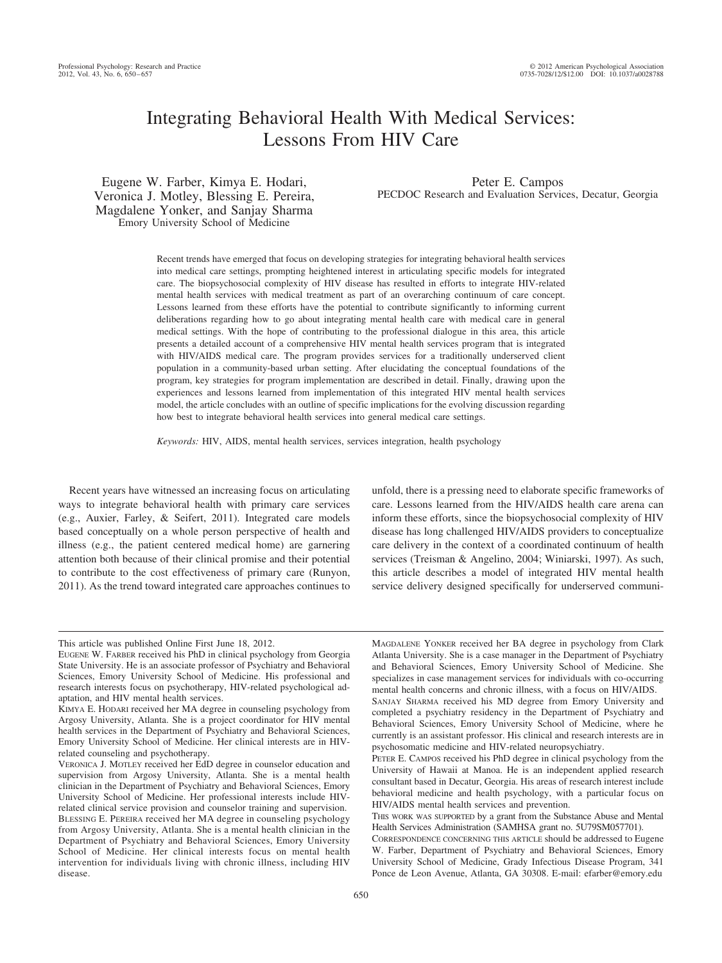# Integrating Behavioral Health With Medical Services: Lessons From HIV Care

Eugene W. Farber, Kimya E. Hodari, Veronica J. Motley, Blessing E. Pereira, Magdalene Yonker, and Sanjay Sharma Emory University School of Medicine

Peter E. Campos PECDOC Research and Evaluation Services, Decatur, Georgia

Recent trends have emerged that focus on developing strategies for integrating behavioral health services into medical care settings, prompting heightened interest in articulating specific models for integrated care. The biopsychosocial complexity of HIV disease has resulted in efforts to integrate HIV-related mental health services with medical treatment as part of an overarching continuum of care concept. Lessons learned from these efforts have the potential to contribute significantly to informing current deliberations regarding how to go about integrating mental health care with medical care in general medical settings. With the hope of contributing to the professional dialogue in this area, this article presents a detailed account of a comprehensive HIV mental health services program that is integrated with HIV/AIDS medical care. The program provides services for a traditionally underserved client population in a community-based urban setting. After elucidating the conceptual foundations of the program, key strategies for program implementation are described in detail. Finally, drawing upon the experiences and lessons learned from implementation of this integrated HIV mental health services model, the article concludes with an outline of specific implications for the evolving discussion regarding how best to integrate behavioral health services into general medical care settings.

*Keywords:* HIV, AIDS, mental health services, services integration, health psychology

Recent years have witnessed an increasing focus on articulating ways to integrate behavioral health with primary care services (e.g., Auxier, Farley, & Seifert, 2011). Integrated care models based conceptually on a whole person perspective of health and illness (e.g., the patient centered medical home) are garnering attention both because of their clinical promise and their potential to contribute to the cost effectiveness of primary care (Runyon, 2011). As the trend toward integrated care approaches continues to

unfold, there is a pressing need to elaborate specific frameworks of care. Lessons learned from the HIV/AIDS health care arena can inform these efforts, since the biopsychosocial complexity of HIV disease has long challenged HIV/AIDS providers to conceptualize care delivery in the context of a coordinated continuum of health services (Treisman & Angelino, 2004; Winiarski, 1997). As such, this article describes a model of integrated HIV mental health service delivery designed specifically for underserved communi-

MAGDALENE YONKER received her BA degree in psychology from Clark Atlanta University. She is a case manager in the Department of Psychiatry and Behavioral Sciences, Emory University School of Medicine. She specializes in case management services for individuals with co-occurring mental health concerns and chronic illness, with a focus on HIV/AIDS. SANJAY SHARMA received his MD degree from Emory University and completed a psychiatry residency in the Department of Psychiatry and Behavioral Sciences, Emory University School of Medicine, where he currently is an assistant professor. His clinical and research interests are in psychosomatic medicine and HIV-related neuropsychiatry.

PETER E. CAMPOS received his PhD degree in clinical psychology from the University of Hawaii at Manoa. He is an independent applied research consultant based in Decatur, Georgia. His areas of research interest include behavioral medicine and health psychology, with a particular focus on HIV/AIDS mental health services and prevention.

This article was published Online First June 18, 2012.

EUGENE W. FARBER received his PhD in clinical psychology from Georgia State University. He is an associate professor of Psychiatry and Behavioral Sciences, Emory University School of Medicine. His professional and research interests focus on psychotherapy, HIV-related psychological adaptation, and HIV mental health services.

KIMYA E. HODARI received her MA degree in counseling psychology from Argosy University, Atlanta. She is a project coordinator for HIV mental health services in the Department of Psychiatry and Behavioral Sciences, Emory University School of Medicine. Her clinical interests are in HIVrelated counseling and psychotherapy.

VERONICA J. MOTLEY received her EdD degree in counselor education and supervision from Argosy University, Atlanta. She is a mental health clinician in the Department of Psychiatry and Behavioral Sciences, Emory University School of Medicine. Her professional interests include HIVrelated clinical service provision and counselor training and supervision. BLESSING E. PEREIRA received her MA degree in counseling psychology from Argosy University, Atlanta. She is a mental health clinician in the Department of Psychiatry and Behavioral Sciences, Emory University School of Medicine. Her clinical interests focus on mental health intervention for individuals living with chronic illness, including HIV disease.

THIS WORK WAS SUPPORTED by a grant from the Substance Abuse and Mental Health Services Administration (SAMHSA grant no. 5U79SM057701).

CORRESPONDENCE CONCERNING THIS ARTICLE should be addressed to Eugene W. Farber, Department of Psychiatry and Behavioral Sciences, Emory University School of Medicine, Grady Infectious Disease Program, 341 Ponce de Leon Avenue, Atlanta, GA 30308. E-mail: efarber@emory.edu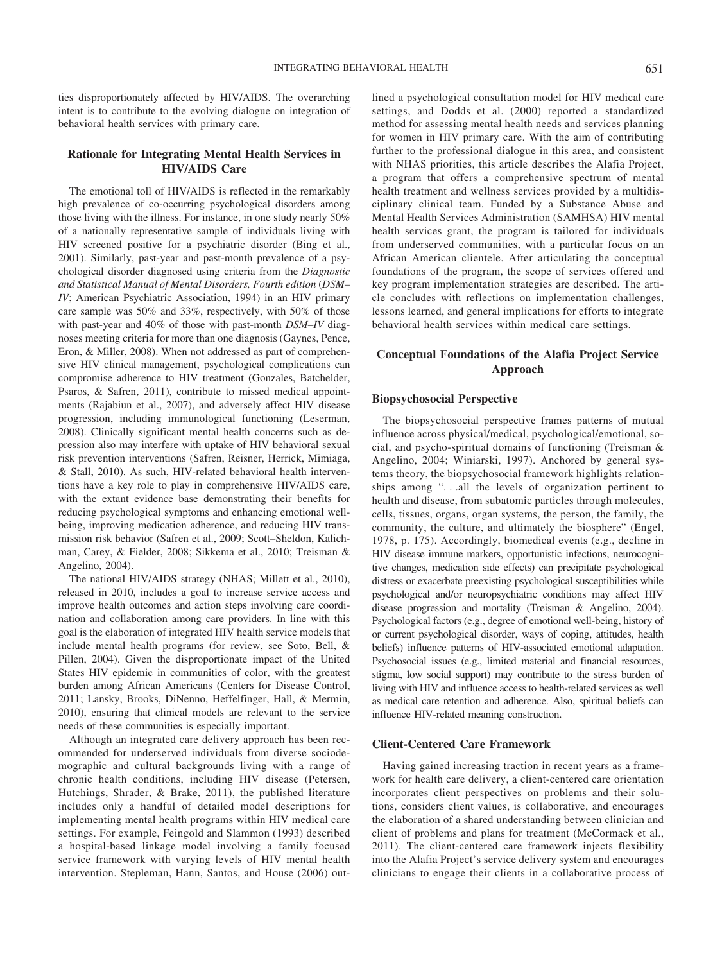ties disproportionately affected by HIV/AIDS. The overarching intent is to contribute to the evolving dialogue on integration of behavioral health services with primary care.

# **Rationale for Integrating Mental Health Services in HIV/AIDS Care**

The emotional toll of HIV/AIDS is reflected in the remarkably high prevalence of co-occurring psychological disorders among those living with the illness. For instance, in one study nearly 50% of a nationally representative sample of individuals living with HIV screened positive for a psychiatric disorder (Bing et al., 2001). Similarly, past-year and past-month prevalence of a psychological disorder diagnosed using criteria from the *Diagnostic and Statistical Manual of Mental Disorders, Fourth edition* (*DSM– IV*; American Psychiatric Association, 1994) in an HIV primary care sample was 50% and 33%, respectively, with 50% of those with past-year and 40% of those with past-month *DSM–IV* diagnoses meeting criteria for more than one diagnosis (Gaynes, Pence, Eron, & Miller, 2008). When not addressed as part of comprehensive HIV clinical management, psychological complications can compromise adherence to HIV treatment (Gonzales, Batchelder, Psaros, & Safren, 2011), contribute to missed medical appointments (Rajabiun et al., 2007), and adversely affect HIV disease progression, including immunological functioning (Leserman, 2008). Clinically significant mental health concerns such as depression also may interfere with uptake of HIV behavioral sexual risk prevention interventions (Safren, Reisner, Herrick, Mimiaga, & Stall, 2010). As such, HIV-related behavioral health interventions have a key role to play in comprehensive HIV/AIDS care, with the extant evidence base demonstrating their benefits for reducing psychological symptoms and enhancing emotional wellbeing, improving medication adherence, and reducing HIV transmission risk behavior (Safren et al., 2009; Scott–Sheldon, Kalichman, Carey, & Fielder, 2008; Sikkema et al., 2010; Treisman & Angelino, 2004).

The national HIV/AIDS strategy (NHAS; Millett et al., 2010), released in 2010, includes a goal to increase service access and improve health outcomes and action steps involving care coordination and collaboration among care providers. In line with this goal is the elaboration of integrated HIV health service models that include mental health programs (for review, see Soto, Bell, & Pillen, 2004). Given the disproportionate impact of the United States HIV epidemic in communities of color, with the greatest burden among African Americans (Centers for Disease Control, 2011; Lansky, Brooks, DiNenno, Heffelfinger, Hall, & Mermin, 2010), ensuring that clinical models are relevant to the service needs of these communities is especially important.

Although an integrated care delivery approach has been recommended for underserved individuals from diverse sociodemographic and cultural backgrounds living with a range of chronic health conditions, including HIV disease (Petersen, Hutchings, Shrader, & Brake, 2011), the published literature includes only a handful of detailed model descriptions for implementing mental health programs within HIV medical care settings. For example, Feingold and Slammon (1993) described a hospital-based linkage model involving a family focused service framework with varying levels of HIV mental health intervention. Stepleman, Hann, Santos, and House (2006) out-

lined a psychological consultation model for HIV medical care settings, and Dodds et al. (2000) reported a standardized method for assessing mental health needs and services planning for women in HIV primary care. With the aim of contributing further to the professional dialogue in this area, and consistent with NHAS priorities, this article describes the Alafia Project, a program that offers a comprehensive spectrum of mental health treatment and wellness services provided by a multidisciplinary clinical team. Funded by a Substance Abuse and Mental Health Services Administration (SAMHSA) HIV mental health services grant, the program is tailored for individuals from underserved communities, with a particular focus on an African American clientele. After articulating the conceptual foundations of the program, the scope of services offered and key program implementation strategies are described. The article concludes with reflections on implementation challenges, lessons learned, and general implications for efforts to integrate behavioral health services within medical care settings.

# **Conceptual Foundations of the Alafia Project Service Approach**

# **Biopsychosocial Perspective**

The biopsychosocial perspective frames patterns of mutual influence across physical/medical, psychological/emotional, social, and psycho-spiritual domains of functioning (Treisman & Angelino, 2004; Winiarski, 1997). Anchored by general systems theory, the biopsychosocial framework highlights relationships among ". . .all the levels of organization pertinent to health and disease, from subatomic particles through molecules, cells, tissues, organs, organ systems, the person, the family, the community, the culture, and ultimately the biosphere" (Engel, 1978, p. 175). Accordingly, biomedical events (e.g., decline in HIV disease immune markers, opportunistic infections, neurocognitive changes, medication side effects) can precipitate psychological distress or exacerbate preexisting psychological susceptibilities while psychological and/or neuropsychiatric conditions may affect HIV disease progression and mortality (Treisman & Angelino, 2004). Psychological factors (e.g., degree of emotional well-being, history of or current psychological disorder, ways of coping, attitudes, health beliefs) influence patterns of HIV-associated emotional adaptation. Psychosocial issues (e.g., limited material and financial resources, stigma, low social support) may contribute to the stress burden of living with HIV and influence access to health-related services as well as medical care retention and adherence. Also, spiritual beliefs can influence HIV-related meaning construction.

# **Client-Centered Care Framework**

Having gained increasing traction in recent years as a framework for health care delivery, a client-centered care orientation incorporates client perspectives on problems and their solutions, considers client values, is collaborative, and encourages the elaboration of a shared understanding between clinician and client of problems and plans for treatment (McCormack et al., 2011). The client-centered care framework injects flexibility into the Alafia Project's service delivery system and encourages clinicians to engage their clients in a collaborative process of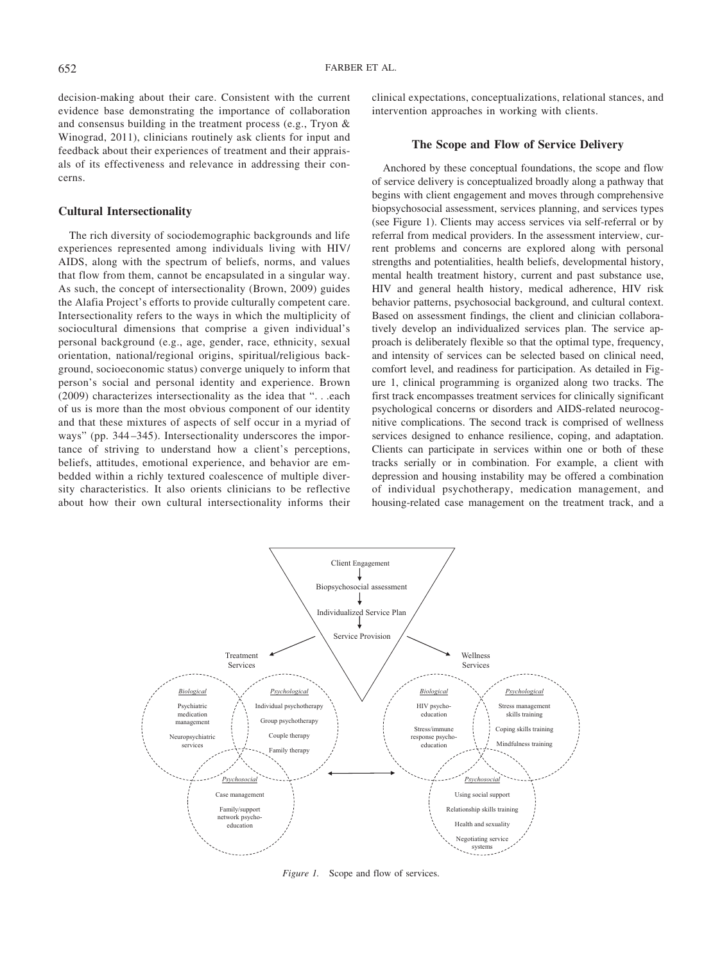decision-making about their care. Consistent with the current evidence base demonstrating the importance of collaboration and consensus building in the treatment process (e.g., Tryon & Winograd, 2011), clinicians routinely ask clients for input and feedback about their experiences of treatment and their appraisals of its effectiveness and relevance in addressing their concerns.

#### **Cultural Intersectionality**

The rich diversity of sociodemographic backgrounds and life experiences represented among individuals living with HIV/ AIDS, along with the spectrum of beliefs, norms, and values that flow from them, cannot be encapsulated in a singular way. As such, the concept of intersectionality (Brown, 2009) guides the Alafia Project's efforts to provide culturally competent care. Intersectionality refers to the ways in which the multiplicity of sociocultural dimensions that comprise a given individual's personal background (e.g., age, gender, race, ethnicity, sexual orientation, national/regional origins, spiritual/religious background, socioeconomic status) converge uniquely to inform that person's social and personal identity and experience. Brown (2009) characterizes intersectionality as the idea that ". . .each of us is more than the most obvious component of our identity and that these mixtures of aspects of self occur in a myriad of ways" (pp. 344 –345). Intersectionality underscores the importance of striving to understand how a client's perceptions, beliefs, attitudes, emotional experience, and behavior are embedded within a richly textured coalescence of multiple diversity characteristics. It also orients clinicians to be reflective about how their own cultural intersectionality informs their

clinical expectations, conceptualizations, relational stances, and intervention approaches in working with clients.

## **The Scope and Flow of Service Delivery**

Anchored by these conceptual foundations, the scope and flow of service delivery is conceptualized broadly along a pathway that begins with client engagement and moves through comprehensive biopsychosocial assessment, services planning, and services types (see Figure 1). Clients may access services via self-referral or by referral from medical providers. In the assessment interview, current problems and concerns are explored along with personal strengths and potentialities, health beliefs, developmental history, mental health treatment history, current and past substance use, HIV and general health history, medical adherence, HIV risk behavior patterns, psychosocial background, and cultural context. Based on assessment findings, the client and clinician collaboratively develop an individualized services plan. The service approach is deliberately flexible so that the optimal type, frequency, and intensity of services can be selected based on clinical need, comfort level, and readiness for participation. As detailed in Figure 1, clinical programming is organized along two tracks. The first track encompasses treatment services for clinically significant psychological concerns or disorders and AIDS-related neurocognitive complications. The second track is comprised of wellness services designed to enhance resilience, coping, and adaptation. Clients can participate in services within one or both of these tracks serially or in combination. For example, a client with depression and housing instability may be offered a combination of individual psychotherapy, medication management, and housing-related case management on the treatment track, and a



*Figure 1.* Scope and flow of services.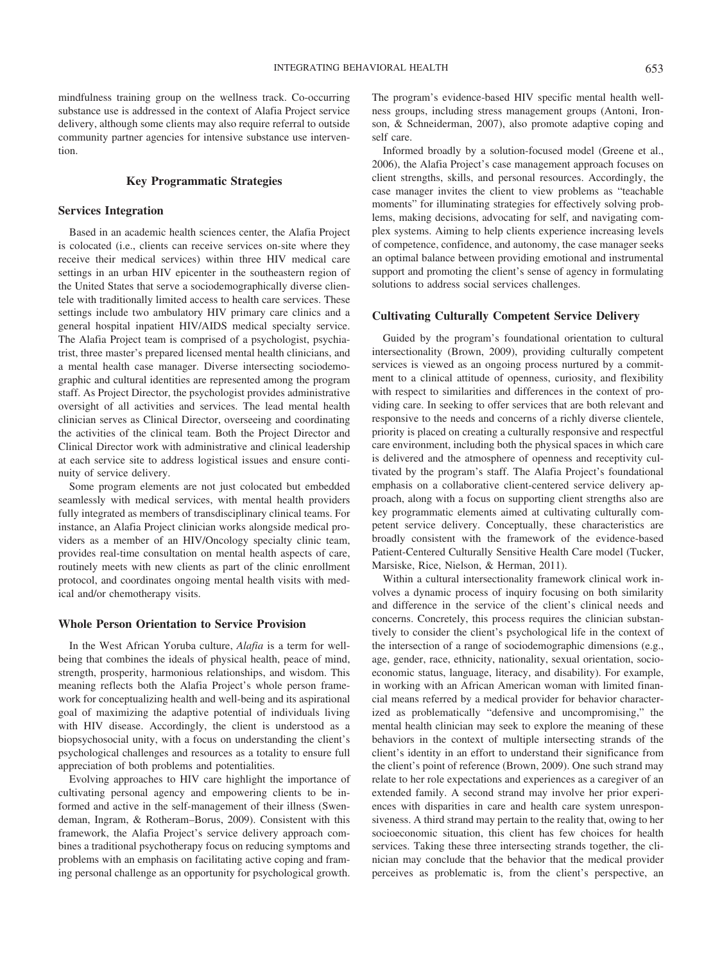mindfulness training group on the wellness track. Co-occurring substance use is addressed in the context of Alafia Project service delivery, although some clients may also require referral to outside community partner agencies for intensive substance use intervention.

# **Key Programmatic Strategies**

#### **Services Integration**

Based in an academic health sciences center, the Alafia Project is colocated (i.e., clients can receive services on-site where they receive their medical services) within three HIV medical care settings in an urban HIV epicenter in the southeastern region of the United States that serve a sociodemographically diverse clientele with traditionally limited access to health care services. These settings include two ambulatory HIV primary care clinics and a general hospital inpatient HIV/AIDS medical specialty service. The Alafia Project team is comprised of a psychologist, psychiatrist, three master's prepared licensed mental health clinicians, and a mental health case manager. Diverse intersecting sociodemographic and cultural identities are represented among the program staff. As Project Director, the psychologist provides administrative oversight of all activities and services. The lead mental health clinician serves as Clinical Director, overseeing and coordinating the activities of the clinical team. Both the Project Director and Clinical Director work with administrative and clinical leadership at each service site to address logistical issues and ensure continuity of service delivery.

Some program elements are not just colocated but embedded seamlessly with medical services, with mental health providers fully integrated as members of transdisciplinary clinical teams. For instance, an Alafia Project clinician works alongside medical providers as a member of an HIV/Oncology specialty clinic team, provides real-time consultation on mental health aspects of care, routinely meets with new clients as part of the clinic enrollment protocol, and coordinates ongoing mental health visits with medical and/or chemotherapy visits.

### **Whole Person Orientation to Service Provision**

In the West African Yoruba culture, *Alafia* is a term for wellbeing that combines the ideals of physical health, peace of mind, strength, prosperity, harmonious relationships, and wisdom. This meaning reflects both the Alafia Project's whole person framework for conceptualizing health and well-being and its aspirational goal of maximizing the adaptive potential of individuals living with HIV disease. Accordingly, the client is understood as a biopsychosocial unity, with a focus on understanding the client's psychological challenges and resources as a totality to ensure full appreciation of both problems and potentialities.

Evolving approaches to HIV care highlight the importance of cultivating personal agency and empowering clients to be informed and active in the self-management of their illness (Swendeman, Ingram, & Rotheram–Borus, 2009). Consistent with this framework, the Alafia Project's service delivery approach combines a traditional psychotherapy focus on reducing symptoms and problems with an emphasis on facilitating active coping and framing personal challenge as an opportunity for psychological growth. The program's evidence-based HIV specific mental health wellness groups, including stress management groups (Antoni, Ironson, & Schneiderman, 2007), also promote adaptive coping and self care.

Informed broadly by a solution-focused model (Greene et al., 2006), the Alafia Project's case management approach focuses on client strengths, skills, and personal resources. Accordingly, the case manager invites the client to view problems as "teachable moments" for illuminating strategies for effectively solving problems, making decisions, advocating for self, and navigating complex systems. Aiming to help clients experience increasing levels of competence, confidence, and autonomy, the case manager seeks an optimal balance between providing emotional and instrumental support and promoting the client's sense of agency in formulating solutions to address social services challenges.

## **Cultivating Culturally Competent Service Delivery**

Guided by the program's foundational orientation to cultural intersectionality (Brown, 2009), providing culturally competent services is viewed as an ongoing process nurtured by a commitment to a clinical attitude of openness, curiosity, and flexibility with respect to similarities and differences in the context of providing care. In seeking to offer services that are both relevant and responsive to the needs and concerns of a richly diverse clientele, priority is placed on creating a culturally responsive and respectful care environment, including both the physical spaces in which care is delivered and the atmosphere of openness and receptivity cultivated by the program's staff. The Alafia Project's foundational emphasis on a collaborative client-centered service delivery approach, along with a focus on supporting client strengths also are key programmatic elements aimed at cultivating culturally competent service delivery. Conceptually, these characteristics are broadly consistent with the framework of the evidence-based Patient-Centered Culturally Sensitive Health Care model (Tucker, Marsiske, Rice, Nielson, & Herman, 2011).

Within a cultural intersectionality framework clinical work involves a dynamic process of inquiry focusing on both similarity and difference in the service of the client's clinical needs and concerns. Concretely, this process requires the clinician substantively to consider the client's psychological life in the context of the intersection of a range of sociodemographic dimensions (e.g., age, gender, race, ethnicity, nationality, sexual orientation, socioeconomic status, language, literacy, and disability). For example, in working with an African American woman with limited financial means referred by a medical provider for behavior characterized as problematically "defensive and uncompromising," the mental health clinician may seek to explore the meaning of these behaviors in the context of multiple intersecting strands of the client's identity in an effort to understand their significance from the client's point of reference (Brown, 2009). One such strand may relate to her role expectations and experiences as a caregiver of an extended family. A second strand may involve her prior experiences with disparities in care and health care system unresponsiveness. A third strand may pertain to the reality that, owing to her socioeconomic situation, this client has few choices for health services. Taking these three intersecting strands together, the clinician may conclude that the behavior that the medical provider perceives as problematic is, from the client's perspective, an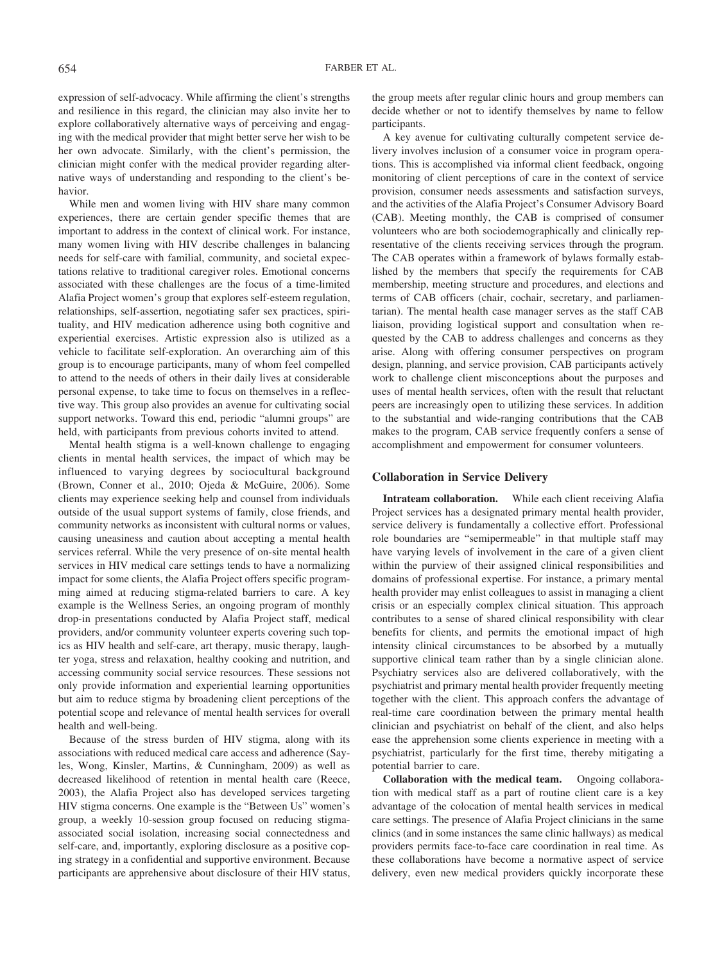expression of self-advocacy. While affirming the client's strengths and resilience in this regard, the clinician may also invite her to explore collaboratively alternative ways of perceiving and engaging with the medical provider that might better serve her wish to be her own advocate. Similarly, with the client's permission, the clinician might confer with the medical provider regarding alternative ways of understanding and responding to the client's behavior.

While men and women living with HIV share many common experiences, there are certain gender specific themes that are important to address in the context of clinical work. For instance, many women living with HIV describe challenges in balancing needs for self-care with familial, community, and societal expectations relative to traditional caregiver roles. Emotional concerns associated with these challenges are the focus of a time-limited Alafia Project women's group that explores self-esteem regulation, relationships, self-assertion, negotiating safer sex practices, spirituality, and HIV medication adherence using both cognitive and experiential exercises. Artistic expression also is utilized as a vehicle to facilitate self-exploration. An overarching aim of this group is to encourage participants, many of whom feel compelled to attend to the needs of others in their daily lives at considerable personal expense, to take time to focus on themselves in a reflective way. This group also provides an avenue for cultivating social support networks. Toward this end, periodic "alumni groups" are held, with participants from previous cohorts invited to attend.

Mental health stigma is a well-known challenge to engaging clients in mental health services, the impact of which may be influenced to varying degrees by sociocultural background (Brown, Conner et al., 2010; Ojeda & McGuire, 2006). Some clients may experience seeking help and counsel from individuals outside of the usual support systems of family, close friends, and community networks as inconsistent with cultural norms or values, causing uneasiness and caution about accepting a mental health services referral. While the very presence of on-site mental health services in HIV medical care settings tends to have a normalizing impact for some clients, the Alafia Project offers specific programming aimed at reducing stigma-related barriers to care. A key example is the Wellness Series, an ongoing program of monthly drop-in presentations conducted by Alafia Project staff, medical providers, and/or community volunteer experts covering such topics as HIV health and self-care, art therapy, music therapy, laughter yoga, stress and relaxation, healthy cooking and nutrition, and accessing community social service resources. These sessions not only provide information and experiential learning opportunities but aim to reduce stigma by broadening client perceptions of the potential scope and relevance of mental health services for overall health and well-being.

Because of the stress burden of HIV stigma, along with its associations with reduced medical care access and adherence (Sayles, Wong, Kinsler, Martins, & Cunningham, 2009) as well as decreased likelihood of retention in mental health care (Reece, 2003), the Alafia Project also has developed services targeting HIV stigma concerns. One example is the "Between Us" women's group, a weekly 10-session group focused on reducing stigmaassociated social isolation, increasing social connectedness and self-care, and, importantly, exploring disclosure as a positive coping strategy in a confidential and supportive environment. Because participants are apprehensive about disclosure of their HIV status,

the group meets after regular clinic hours and group members can decide whether or not to identify themselves by name to fellow participants.

A key avenue for cultivating culturally competent service delivery involves inclusion of a consumer voice in program operations. This is accomplished via informal client feedback, ongoing monitoring of client perceptions of care in the context of service provision, consumer needs assessments and satisfaction surveys, and the activities of the Alafia Project's Consumer Advisory Board (CAB). Meeting monthly, the CAB is comprised of consumer volunteers who are both sociodemographically and clinically representative of the clients receiving services through the program. The CAB operates within a framework of bylaws formally established by the members that specify the requirements for CAB membership, meeting structure and procedures, and elections and terms of CAB officers (chair, cochair, secretary, and parliamentarian). The mental health case manager serves as the staff CAB liaison, providing logistical support and consultation when requested by the CAB to address challenges and concerns as they arise. Along with offering consumer perspectives on program design, planning, and service provision, CAB participants actively work to challenge client misconceptions about the purposes and uses of mental health services, often with the result that reluctant peers are increasingly open to utilizing these services. In addition to the substantial and wide-ranging contributions that the CAB makes to the program, CAB service frequently confers a sense of accomplishment and empowerment for consumer volunteers.

#### **Collaboration in Service Delivery**

**Intrateam collaboration.** While each client receiving Alafia Project services has a designated primary mental health provider, service delivery is fundamentally a collective effort. Professional role boundaries are "semipermeable" in that multiple staff may have varying levels of involvement in the care of a given client within the purview of their assigned clinical responsibilities and domains of professional expertise. For instance, a primary mental health provider may enlist colleagues to assist in managing a client crisis or an especially complex clinical situation. This approach contributes to a sense of shared clinical responsibility with clear benefits for clients, and permits the emotional impact of high intensity clinical circumstances to be absorbed by a mutually supportive clinical team rather than by a single clinician alone. Psychiatry services also are delivered collaboratively, with the psychiatrist and primary mental health provider frequently meeting together with the client. This approach confers the advantage of real-time care coordination between the primary mental health clinician and psychiatrist on behalf of the client, and also helps ease the apprehension some clients experience in meeting with a psychiatrist, particularly for the first time, thereby mitigating a potential barrier to care.

**Collaboration with the medical team.** Ongoing collaboration with medical staff as a part of routine client care is a key advantage of the colocation of mental health services in medical care settings. The presence of Alafia Project clinicians in the same clinics (and in some instances the same clinic hallways) as medical providers permits face-to-face care coordination in real time. As these collaborations have become a normative aspect of service delivery, even new medical providers quickly incorporate these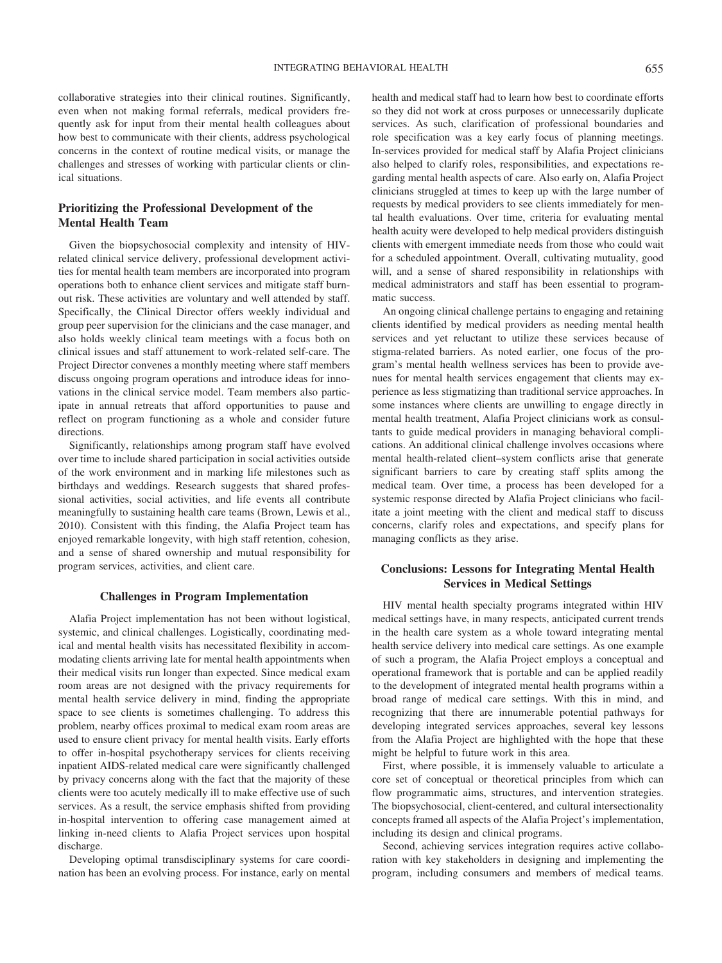collaborative strategies into their clinical routines. Significantly, even when not making formal referrals, medical providers frequently ask for input from their mental health colleagues about how best to communicate with their clients, address psychological concerns in the context of routine medical visits, or manage the challenges and stresses of working with particular clients or clinical situations.

# **Prioritizing the Professional Development of the Mental Health Team**

Given the biopsychosocial complexity and intensity of HIVrelated clinical service delivery, professional development activities for mental health team members are incorporated into program operations both to enhance client services and mitigate staff burnout risk. These activities are voluntary and well attended by staff. Specifically, the Clinical Director offers weekly individual and group peer supervision for the clinicians and the case manager, and also holds weekly clinical team meetings with a focus both on clinical issues and staff attunement to work-related self-care. The Project Director convenes a monthly meeting where staff members discuss ongoing program operations and introduce ideas for innovations in the clinical service model. Team members also participate in annual retreats that afford opportunities to pause and reflect on program functioning as a whole and consider future directions.

Significantly, relationships among program staff have evolved over time to include shared participation in social activities outside of the work environment and in marking life milestones such as birthdays and weddings. Research suggests that shared professional activities, social activities, and life events all contribute meaningfully to sustaining health care teams (Brown, Lewis et al., 2010). Consistent with this finding, the Alafia Project team has enjoyed remarkable longevity, with high staff retention, cohesion, and a sense of shared ownership and mutual responsibility for program services, activities, and client care.

### **Challenges in Program Implementation**

Alafia Project implementation has not been without logistical, systemic, and clinical challenges. Logistically, coordinating medical and mental health visits has necessitated flexibility in accommodating clients arriving late for mental health appointments when their medical visits run longer than expected. Since medical exam room areas are not designed with the privacy requirements for mental health service delivery in mind, finding the appropriate space to see clients is sometimes challenging. To address this problem, nearby offices proximal to medical exam room areas are used to ensure client privacy for mental health visits. Early efforts to offer in-hospital psychotherapy services for clients receiving inpatient AIDS-related medical care were significantly challenged by privacy concerns along with the fact that the majority of these clients were too acutely medically ill to make effective use of such services. As a result, the service emphasis shifted from providing in-hospital intervention to offering case management aimed at linking in-need clients to Alafia Project services upon hospital discharge.

Developing optimal transdisciplinary systems for care coordination has been an evolving process. For instance, early on mental health and medical staff had to learn how best to coordinate efforts so they did not work at cross purposes or unnecessarily duplicate services. As such, clarification of professional boundaries and role specification was a key early focus of planning meetings. In-services provided for medical staff by Alafia Project clinicians also helped to clarify roles, responsibilities, and expectations regarding mental health aspects of care. Also early on, Alafia Project clinicians struggled at times to keep up with the large number of requests by medical providers to see clients immediately for mental health evaluations. Over time, criteria for evaluating mental health acuity were developed to help medical providers distinguish clients with emergent immediate needs from those who could wait for a scheduled appointment. Overall, cultivating mutuality, good will, and a sense of shared responsibility in relationships with medical administrators and staff has been essential to programmatic success.

An ongoing clinical challenge pertains to engaging and retaining clients identified by medical providers as needing mental health services and yet reluctant to utilize these services because of stigma-related barriers. As noted earlier, one focus of the program's mental health wellness services has been to provide avenues for mental health services engagement that clients may experience as less stigmatizing than traditional service approaches. In some instances where clients are unwilling to engage directly in mental health treatment, Alafia Project clinicians work as consultants to guide medical providers in managing behavioral complications. An additional clinical challenge involves occasions where mental health-related client–system conflicts arise that generate significant barriers to care by creating staff splits among the medical team. Over time, a process has been developed for a systemic response directed by Alafia Project clinicians who facilitate a joint meeting with the client and medical staff to discuss concerns, clarify roles and expectations, and specify plans for managing conflicts as they arise.

# **Conclusions: Lessons for Integrating Mental Health Services in Medical Settings**

HIV mental health specialty programs integrated within HIV medical settings have, in many respects, anticipated current trends in the health care system as a whole toward integrating mental health service delivery into medical care settings. As one example of such a program, the Alafia Project employs a conceptual and operational framework that is portable and can be applied readily to the development of integrated mental health programs within a broad range of medical care settings. With this in mind, and recognizing that there are innumerable potential pathways for developing integrated services approaches, several key lessons from the Alafia Project are highlighted with the hope that these might be helpful to future work in this area.

First, where possible, it is immensely valuable to articulate a core set of conceptual or theoretical principles from which can flow programmatic aims, structures, and intervention strategies. The biopsychosocial, client-centered, and cultural intersectionality concepts framed all aspects of the Alafia Project's implementation, including its design and clinical programs.

Second, achieving services integration requires active collaboration with key stakeholders in designing and implementing the program, including consumers and members of medical teams.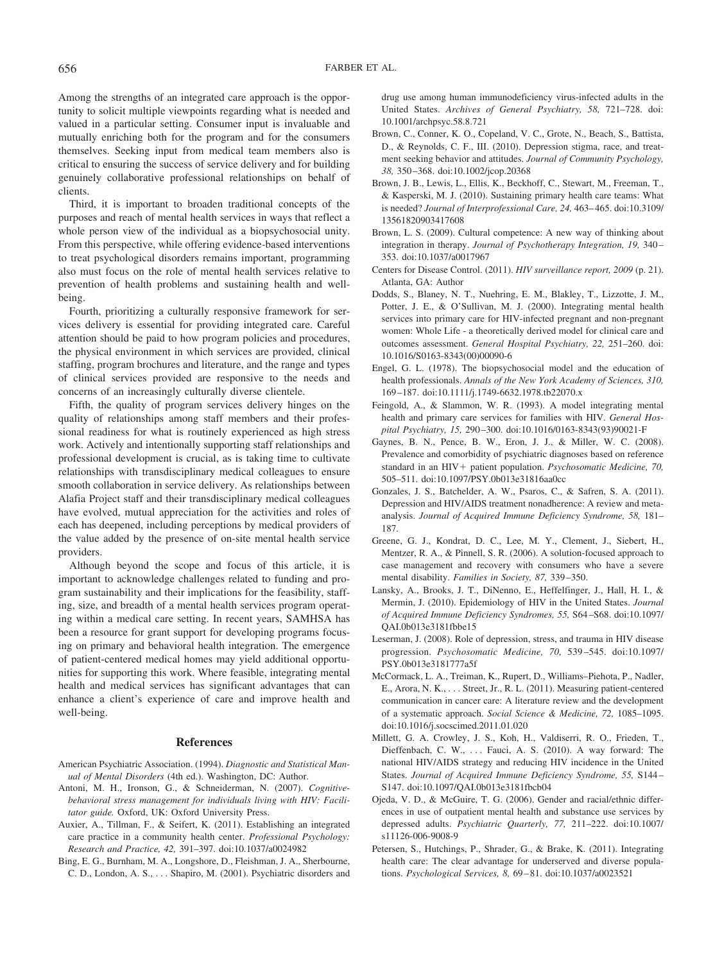Among the strengths of an integrated care approach is the opportunity to solicit multiple viewpoints regarding what is needed and valued in a particular setting. Consumer input is invaluable and mutually enriching both for the program and for the consumers themselves. Seeking input from medical team members also is critical to ensuring the success of service delivery and for building genuinely collaborative professional relationships on behalf of clients.

Third, it is important to broaden traditional concepts of the purposes and reach of mental health services in ways that reflect a whole person view of the individual as a biopsychosocial unity. From this perspective, while offering evidence-based interventions to treat psychological disorders remains important, programming also must focus on the role of mental health services relative to prevention of health problems and sustaining health and wellbeing.

Fourth, prioritizing a culturally responsive framework for services delivery is essential for providing integrated care. Careful attention should be paid to how program policies and procedures, the physical environment in which services are provided, clinical staffing, program brochures and literature, and the range and types of clinical services provided are responsive to the needs and concerns of an increasingly culturally diverse clientele.

Fifth, the quality of program services delivery hinges on the quality of relationships among staff members and their professional readiness for what is routinely experienced as high stress work. Actively and intentionally supporting staff relationships and professional development is crucial, as is taking time to cultivate relationships with transdisciplinary medical colleagues to ensure smooth collaboration in service delivery. As relationships between Alafia Project staff and their transdisciplinary medical colleagues have evolved, mutual appreciation for the activities and roles of each has deepened, including perceptions by medical providers of the value added by the presence of on-site mental health service providers.

Although beyond the scope and focus of this article, it is important to acknowledge challenges related to funding and program sustainability and their implications for the feasibility, staffing, size, and breadth of a mental health services program operating within a medical care setting. In recent years, SAMHSA has been a resource for grant support for developing programs focusing on primary and behavioral health integration. The emergence of patient-centered medical homes may yield additional opportunities for supporting this work. Where feasible, integrating mental health and medical services has significant advantages that can enhance a client's experience of care and improve health and well-being.

#### **References**

- American Psychiatric Association. (1994). *Diagnostic and Statistical Manual of Mental Disorders* (4th ed.). Washington, DC: Author.
- Antoni, M. H., Ironson, G., & Schneiderman, N. (2007). *Cognitivebehavioral stress management for individuals living with HIV: Facilitator guide.* Oxford, UK: Oxford University Press.
- Auxier, A., Tillman, F., & Seifert, K. (2011). Establishing an integrated care practice in a community health center. *Professional Psychology: Research and Practice, 42,* 391–397. doi:10.1037/a0024982
- Bing, E. G., Burnham, M. A., Longshore, D., Fleishman, J. A., Sherbourne, C. D., London, A. S., . . . Shapiro, M. (2001). Psychiatric disorders and

drug use among human immunodeficiency virus-infected adults in the United States. *Archives of General Psychiatry, 58,* 721–728. doi: 10.1001/archpsyc.58.8.721

- Brown, C., Conner, K. O., Copeland, V. C., Grote, N., Beach, S., Battista, D., & Reynolds, C. F., III. (2010). Depression stigma, race, and treatment seeking behavior and attitudes. *Journal of Community Psychology, 38,* 350 –368. doi:10.1002/jcop.20368
- Brown, J. B., Lewis, L., Ellis, K., Beckhoff, C., Stewart, M., Freeman, T., & Kasperski, M. J. (2010). Sustaining primary health care teams: What is needed? *Journal of Interprofessional Care, 24,* 463– 465. doi:10.3109/ 13561820903417608
- Brown, L. S. (2009). Cultural competence: A new way of thinking about integration in therapy. *Journal of Psychotherapy Integration, 19,* 340 – 353. doi:10.1037/a0017967
- Centers for Disease Control. (2011). *HIV surveillance report, 2009* (p. 21). Atlanta, GA: Author
- Dodds, S., Blaney, N. T., Nuehring, E. M., Blakley, T., Lizzotte, J. M., Potter, J. E., & O'Sullivan, M. J. (2000). Integrating mental health services into primary care for HIV-infected pregnant and non-pregnant women: Whole Life - a theoretically derived model for clinical care and outcomes assessment. *General Hospital Psychiatry, 22,* 251–260. doi: 10.1016/S0163-8343(00)00090-6
- Engel, G. L. (1978). The biopsychosocial model and the education of health professionals. *Annals of the New York Academy of Sciences, 310,* 169 –187. doi:10.1111/j.1749-6632.1978.tb22070.x
- Feingold, A., & Slammon, W. R. (1993). A model integrating mental health and primary care services for families with HIV. *General Hospital Psychiatry, 15,* 290 –300. doi:10.1016/0163-8343(93)90021-F
- Gaynes, B. N., Pence, B. W., Eron, J. J., & Miller, W. C. (2008). Prevalence and comorbidity of psychiatric diagnoses based on reference standard in an HIV+ patient population. *Psychosomatic Medicine*, 70, 505–511. doi:10.1097/PSY.0b013e31816aa0cc
- Gonzales, J. S., Batchelder, A. W., Psaros, C., & Safren, S. A. (2011). Depression and HIV/AIDS treatment nonadherence: A review and metaanalysis. *Journal of Acquired Immune Deficiency Syndrome, 58,* 181– 187.
- Greene, G. J., Kondrat, D. C., Lee, M. Y., Clement, J., Siebert, H., Mentzer, R. A., & Pinnell, S. R. (2006). A solution-focused approach to case management and recovery with consumers who have a severe mental disability. *Families in Society, 87,* 339 –350.
- Lansky, A., Brooks, J. T., DiNenno, E., Heffelfinger, J., Hall, H. I., & Mermin, J. (2010). Epidemiology of HIV in the United States. *Journal of Acquired Immune Deficiency Syndromes, 55,* S64 –S68. doi:10.1097/ QAI.0b013e3181fbbe15
- Leserman, J. (2008). Role of depression, stress, and trauma in HIV disease progression. *Psychosomatic Medicine, 70,* 539 –545. doi:10.1097/ PSY.0b013e3181777a5f
- McCormack, L. A., Treiman, K., Rupert, D., Williams–Piehota, P., Nadler, E., Arora, N. K., . . . Street, Jr., R. L. (2011). Measuring patient-centered communication in cancer care: A literature review and the development of a systematic approach. *Social Science & Medicine, 72,* 1085–1095. doi:10.1016/j.socscimed.2011.01.020
- Millett, G. A. Crowley, J. S., Koh, H., Valdiserri, R. O., Frieden, T., Dieffenbach, C. W., ... Fauci, A. S. (2010). A way forward: The national HIV/AIDS strategy and reducing HIV incidence in the United States. *Journal of Acquired Immune Deficiency Syndrome, 55,* S144 – S147. doi:10.1097/QAI.0b013e3181fbcb04
- Ojeda, V. D., & McGuire, T. G. (2006). Gender and racial/ethnic differences in use of outpatient mental health and substance use services by depressed adults. *Psychiatric Quarterly, 77,* 211–222. doi:10.1007/ s11126-006-9008-9
- Petersen, S., Hutchings, P., Shrader, G., & Brake, K. (2011). Integrating health care: The clear advantage for underserved and diverse populations. *Psychological Services, 8,* 69 – 81. doi:10.1037/a0023521